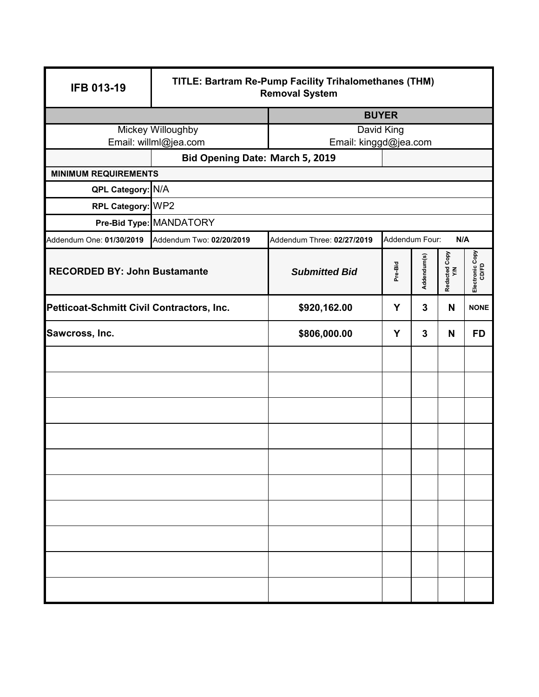| <b>IFB 013-19</b>                         | TITLE: Bartram Re-Pump Facility Trihalomethanes (THM)<br><b>Removal System</b> |                                     |                                                |   |                          |             |
|-------------------------------------------|--------------------------------------------------------------------------------|-------------------------------------|------------------------------------------------|---|--------------------------|-------------|
|                                           |                                                                                | <b>BUYER</b>                        |                                                |   |                          |             |
|                                           | Mickey Willoughby<br>Email: willml@jea.com                                     | David King<br>Email: kinggd@jea.com |                                                |   |                          |             |
|                                           | Bid Opening Date: March 5, 2019                                                |                                     |                                                |   |                          |             |
| <b>MINIMUM REQUIREMENTS</b>               |                                                                                |                                     |                                                |   |                          |             |
| QPL Category: N/A                         |                                                                                |                                     |                                                |   |                          |             |
| RPL Category: WP2                         |                                                                                |                                     |                                                |   |                          |             |
|                                           | Pre-Bid Type: MANDATORY                                                        |                                     |                                                |   |                          |             |
| Addendum One: 01/30/2019                  | Addendum Two: 02/20/2019                                                       | Addendum Three: 02/27/2019          | Addendum Four:                                 |   | N/A                      |             |
| <b>RECORDED BY: John Bustamante</b>       |                                                                                | <b>Submitted Bid</b>                | Redacted Copy<br>Y/N<br>Addendum(s)<br>Pre-Bid |   | Electronic Copy<br>CD/FD |             |
| Petticoat-Schmitt Civil Contractors, Inc. |                                                                                | \$920,162.00                        | Y                                              | 3 | N                        | <b>NONE</b> |
| Sawcross, Inc.                            |                                                                                | \$806,000.00                        | Y                                              | 3 | N                        | <b>FD</b>   |
|                                           |                                                                                |                                     |                                                |   |                          |             |
|                                           |                                                                                |                                     |                                                |   |                          |             |
|                                           |                                                                                |                                     |                                                |   |                          |             |
|                                           |                                                                                |                                     |                                                |   |                          |             |
|                                           |                                                                                |                                     |                                                |   |                          |             |
|                                           |                                                                                |                                     |                                                |   |                          |             |
|                                           |                                                                                |                                     |                                                |   |                          |             |
|                                           |                                                                                |                                     |                                                |   |                          |             |
|                                           |                                                                                |                                     |                                                |   |                          |             |
|                                           |                                                                                |                                     |                                                |   |                          |             |
|                                           |                                                                                |                                     |                                                |   |                          |             |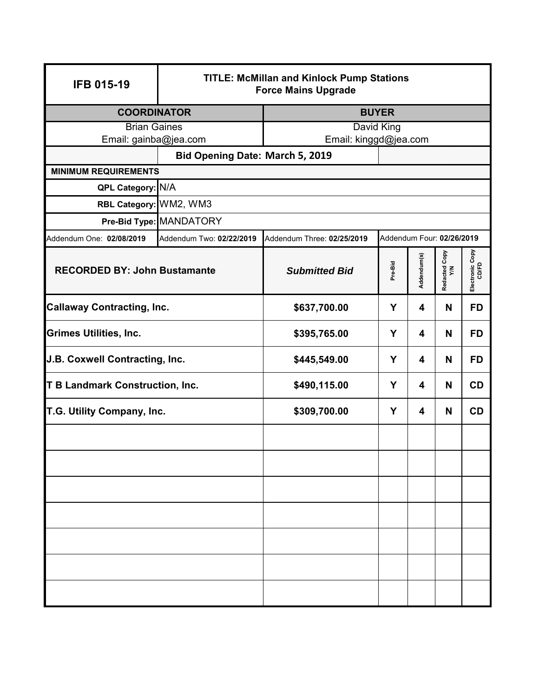| <b>IFB 015-19</b>                      | <b>TITLE: McMillan and Kinlock Pump Stations</b><br><b>Force Mains Upgrade</b>        |                                 |   |                           |                 |           |
|----------------------------------------|---------------------------------------------------------------------------------------|---------------------------------|---|---------------------------|-----------------|-----------|
| <b>COORDINATOR</b>                     |                                                                                       | <b>BUYER</b>                    |   |                           |                 |           |
| <b>Brian Gaines</b>                    |                                                                                       | David King                      |   |                           |                 |           |
| Email: gainba@jea.com                  |                                                                                       | Email: kinggd@jea.com           |   |                           |                 |           |
| <b>MINIMUM REQUIREMENTS</b>            |                                                                                       | Bid Opening Date: March 5, 2019 |   |                           |                 |           |
| QPL Category: N/A                      |                                                                                       |                                 |   |                           |                 |           |
| RBL Category: WM2, WM3                 |                                                                                       |                                 |   |                           |                 |           |
|                                        | Pre-Bid Type: MANDATORY                                                               |                                 |   |                           |                 |           |
| Addendum One: 02/08/2019               | Addendum Two: 02/22/2019                                                              | Addendum Three: 02/25/2019      |   | Addendum Four: 02/26/2019 |                 |           |
|                                        | Addendum(s)<br>Pre-Bid<br><b>RECORDED BY: John Bustamante</b><br><b>Submitted Bid</b> |                                 |   | Redacted Copy<br>Y/N      | Electronic Copy |           |
| <b>Callaway Contracting, Inc.</b>      |                                                                                       | \$637,700.00                    | Y |                           | N               | <b>FD</b> |
| <b>Grimes Utilities, Inc.</b>          |                                                                                       | \$395,765.00                    | Y |                           | N               | <b>FD</b> |
| J.B. Coxwell Contracting, Inc.         |                                                                                       | Y<br>\$445,549.00               |   | 4                         | N               | <b>FD</b> |
| <b>T B Landmark Construction, Inc.</b> |                                                                                       | \$490,115.00<br>Y               |   | 4                         | N               | <b>CD</b> |
| T.G. Utility Company, Inc.             |                                                                                       | \$309,700.00                    | Y | 4                         | N               | CD        |
|                                        |                                                                                       |                                 |   |                           |                 |           |
|                                        |                                                                                       |                                 |   |                           |                 |           |
|                                        |                                                                                       |                                 |   |                           |                 |           |
|                                        |                                                                                       |                                 |   |                           |                 |           |
|                                        |                                                                                       |                                 |   |                           |                 |           |
|                                        |                                                                                       |                                 |   |                           |                 |           |
|                                        |                                                                                       |                                 |   |                           |                 |           |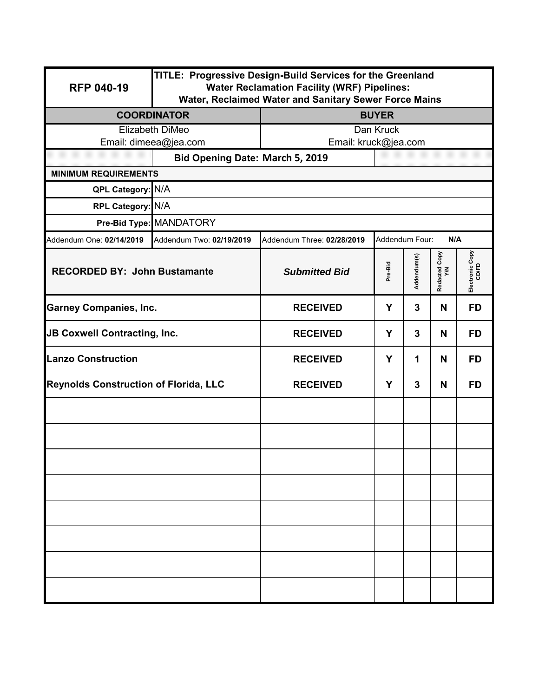| <b>RFP 040-19</b>                            | TITLE: Progressive Design-Build Services for the Greenland<br><b>Water Reclamation Facility (WRF) Pipelines:</b><br>Water, Reclaimed Water and Sanitary Sewer Force Mains |                            |                |              |                     |                          |  |
|----------------------------------------------|---------------------------------------------------------------------------------------------------------------------------------------------------------------------------|----------------------------|----------------|--------------|---------------------|--------------------------|--|
|                                              | <b>COORDINATOR</b>                                                                                                                                                        | <b>BUYER</b>               |                |              |                     |                          |  |
| Elizabeth DiMeo                              |                                                                                                                                                                           | Dan Kruck                  |                |              |                     |                          |  |
|                                              | Email: kruck@jea.com<br>Email: dimeea@jea.com                                                                                                                             |                            |                |              |                     |                          |  |
|                                              | Bid Opening Date: March 5, 2019                                                                                                                                           |                            |                |              |                     |                          |  |
| <b>MINIMUM REQUIREMENTS</b>                  |                                                                                                                                                                           |                            |                |              |                     |                          |  |
| QPL Category: N/A                            |                                                                                                                                                                           |                            |                |              |                     |                          |  |
| RPL Category: N/A                            |                                                                                                                                                                           |                            |                |              |                     |                          |  |
|                                              | Pre-Bid Type: MANDATORY                                                                                                                                                   |                            |                |              |                     |                          |  |
| Addendum One: 02/14/2019                     | Addendum Two: 02/19/2019                                                                                                                                                  | Addendum Three: 02/28/2019 | Addendum Four: |              | N/A                 |                          |  |
| <b>RECORDED BY: John Bustamante</b>          |                                                                                                                                                                           | <b>Submitted Bid</b>       | Pre-Bid        |              | Redacted Copy<br>YM | Electronic Copy<br>CD/FD |  |
| <b>Garney Companies, Inc.</b>                |                                                                                                                                                                           | <b>RECEIVED</b>            | Y              | $\mathbf{3}$ | N                   | <b>FD</b>                |  |
| JB Coxwell Contracting, Inc.                 |                                                                                                                                                                           | <b>RECEIVED</b><br>Y       |                | 3            | N                   | <b>FD</b>                |  |
| <b>Lanzo Construction</b>                    |                                                                                                                                                                           | <b>RECEIVED</b><br>Y       |                | 1            | N                   | <b>FD</b>                |  |
| <b>Reynolds Construction of Florida, LLC</b> |                                                                                                                                                                           | <b>RECEIVED</b><br>Y       |                | 3            | N                   | <b>FD</b>                |  |
|                                              |                                                                                                                                                                           |                            |                |              |                     |                          |  |
|                                              |                                                                                                                                                                           |                            |                |              |                     |                          |  |
|                                              |                                                                                                                                                                           |                            |                |              |                     |                          |  |
|                                              |                                                                                                                                                                           |                            |                |              |                     |                          |  |
|                                              |                                                                                                                                                                           |                            |                |              |                     |                          |  |
|                                              |                                                                                                                                                                           |                            |                |              |                     |                          |  |
|                                              |                                                                                                                                                                           |                            |                |              |                     |                          |  |
|                                              |                                                                                                                                                                           |                            |                |              |                     |                          |  |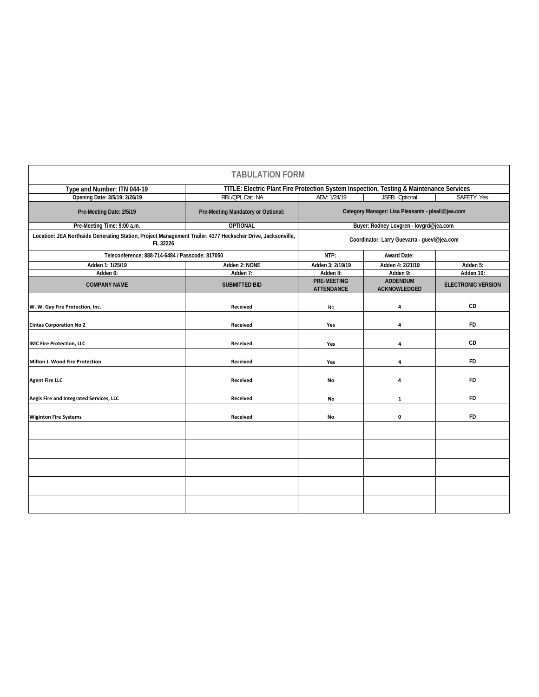|                                                                                                                         | <b>TABULATION FORM</b>                      |                                                                                         |                                 |                           |  |
|-------------------------------------------------------------------------------------------------------------------------|---------------------------------------------|-----------------------------------------------------------------------------------------|---------------------------------|---------------------------|--|
| Type and Number: ITN 044-19                                                                                             |                                             | TITLE: Electric Plant Fire Protection System Inspection, Testing & Maintenance Services |                                 |                           |  |
| Opening Date: 3/5/19; 2/26/19                                                                                           | RBL/QPL Cat: NA                             | ADV: 1/24/19                                                                            | JSEB: Optional                  | SAFETY: Yes               |  |
| Pre-Meeting Date: 2/5/19                                                                                                | Pre-Meeting Mandatory or Optional:          | Category Manager: Lisa Pleasants - pleall@jea.com                                       |                                 |                           |  |
| Pre-Meeting Time: 9:00 a.m.                                                                                             | <b>OPTIONAL</b>                             | Buyer: Rodney Lovgren - lovgrd@jea.com                                                  |                                 |                           |  |
| Location: JEA Northside Generating Station, Project Management Trailer, 4377 Heckscher Drive, Jacksonville,<br>FL 32226 | Coordinator: Larry Guevarra - guevl@jea.com |                                                                                         |                                 |                           |  |
| Teleconference: 888-714-6484 / Passcode: 817050                                                                         |                                             | NTP:                                                                                    | <b>Award Date:</b>              |                           |  |
| Adden 1: 1/25/19                                                                                                        | Adden 2: NONE                               | Adden 3: 2/19/19                                                                        | Adden 4: 2/21/19                | Adden 5:                  |  |
| Adden 6:                                                                                                                | Adden 7:                                    | Adden 8:                                                                                | Adden 9:                        | Adden 10:                 |  |
| <b>COMPANY NAME</b>                                                                                                     | <b>SUBMITTED BID</b>                        | <b>PRE-MEETING</b><br><b>ATTENDANCE</b>                                                 | <b>ADDENDUM</b><br>ACKNOWLEDGED | <b>ELECTRONIC VERSION</b> |  |
| W. W. Gay Fire Protection, Inc.                                                                                         | Received                                    | No                                                                                      | 4                               | CD                        |  |
| <b>Cintas Corporation No 2</b>                                                                                          | Received                                    | Yes                                                                                     | 4                               | <b>FD</b>                 |  |
| <b>IMC Fire Protection, LLC</b>                                                                                         | Received                                    | Yes                                                                                     | 4                               | CD                        |  |
| <b>Milton J. Wood Fire Protection</b>                                                                                   | Received                                    | Yes                                                                                     | 4                               | <b>FD</b>                 |  |
| <b>Agent Fire LLC</b>                                                                                                   | Received                                    | No                                                                                      | 4                               | <b>FD</b>                 |  |
| Aegis Fire and Integrated Services, LLC                                                                                 | Received                                    | No                                                                                      | $\mathbf{1}$                    | <b>FD</b>                 |  |
| <b>Wiginton Fire Systems</b>                                                                                            | Received                                    | No                                                                                      | 0                               | <b>FD</b>                 |  |
|                                                                                                                         |                                             |                                                                                         |                                 |                           |  |
|                                                                                                                         |                                             |                                                                                         |                                 |                           |  |
|                                                                                                                         |                                             |                                                                                         |                                 |                           |  |
|                                                                                                                         |                                             |                                                                                         |                                 |                           |  |
|                                                                                                                         |                                             |                                                                                         |                                 |                           |  |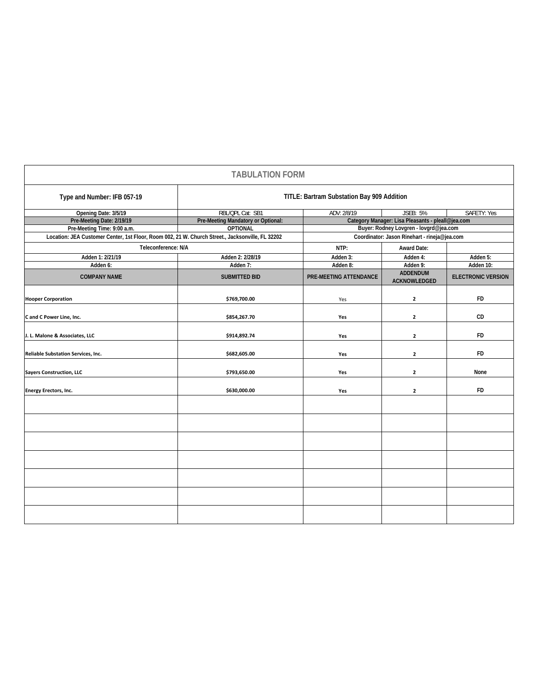|                                    | <b>TABULATION FORM</b>                                                                           |                                                   |                                        |                                              |  |  |
|------------------------------------|--------------------------------------------------------------------------------------------------|---------------------------------------------------|----------------------------------------|----------------------------------------------|--|--|
| Type and Number: IFB 057-19        | TITLE: Bartram Substation Bay 909 Addition                                                       |                                                   |                                        |                                              |  |  |
| Opening Date: 3/5/19               | RBL/QPL Cat: SB1                                                                                 | ADV: 2/8/19<br><b>JSEB: 5%</b><br>SAFETY: Yes     |                                        |                                              |  |  |
| Pre-Meeting Date: 2/19/19          | Pre-Meeting Mandatory or Optional:                                                               | Category Manager: Lisa Pleasants - pleall@jea.com |                                        |                                              |  |  |
| Pre-Meeting Time: 9:00 a.m.        | <b>OPTIONAL</b>                                                                                  | Buyer: Rodney Lovgren - lovgrd@jea.com            |                                        |                                              |  |  |
|                                    | Location: JEA Customer Center, 1st Floor, Room 002, 21 W. Church Street., Jacksonville, FL 32202 |                                                   |                                        | Coordinator: Jason Rinehart - rineja@jea.com |  |  |
| Teleconference: N/A                |                                                                                                  | NTP:                                              | <b>Award Date:</b>                     |                                              |  |  |
| Adden 1: 2/21/19                   | Adden 2: 2/28/19                                                                                 | Adden 3:                                          | Adden 4:                               | Adden 5:                                     |  |  |
| Adden 6:                           | Adden 7:                                                                                         | Adden 8:                                          | Adden 9:                               | Adden 10:                                    |  |  |
| <b>COMPANY NAME</b>                | <b>SUBMITTED BID</b>                                                                             | PRE-MEETING ATTENDANCE                            | <b>ADDENDUM</b><br><b>ACKNOWLEDGED</b> | <b>ELECTRONIC VERSION</b>                    |  |  |
| <b>Hooper Corporation</b>          | \$769,700.00                                                                                     | Yes                                               | $\mathbf{2}$                           | FD                                           |  |  |
| C and C Power Line, Inc.           | \$854,267.70                                                                                     | Yes                                               | $\mathbf{2}$                           | CD                                           |  |  |
| J. L. Malone & Associates, LLC     | \$914,892.74                                                                                     | Yes                                               | $\mathbf{2}$                           | <b>FD</b>                                    |  |  |
| Reliable Substation Services, Inc. | \$682,605.00                                                                                     | Yes                                               | $\mathbf{2}$                           | <b>FD</b>                                    |  |  |
| <b>Sayers Construction, LLC</b>    | \$793,650.00                                                                                     | Yes                                               | $\overline{2}$                         | None                                         |  |  |
| <b>Energy Erectors, Inc.</b>       | \$630,000.00                                                                                     | Yes                                               | $\mathbf{2}$                           | FD                                           |  |  |
|                                    |                                                                                                  |                                                   |                                        |                                              |  |  |
|                                    |                                                                                                  |                                                   |                                        |                                              |  |  |
|                                    |                                                                                                  |                                                   |                                        |                                              |  |  |
|                                    |                                                                                                  |                                                   |                                        |                                              |  |  |
|                                    |                                                                                                  |                                                   |                                        |                                              |  |  |
|                                    |                                                                                                  |                                                   |                                        |                                              |  |  |
|                                    |                                                                                                  |                                                   |                                        |                                              |  |  |